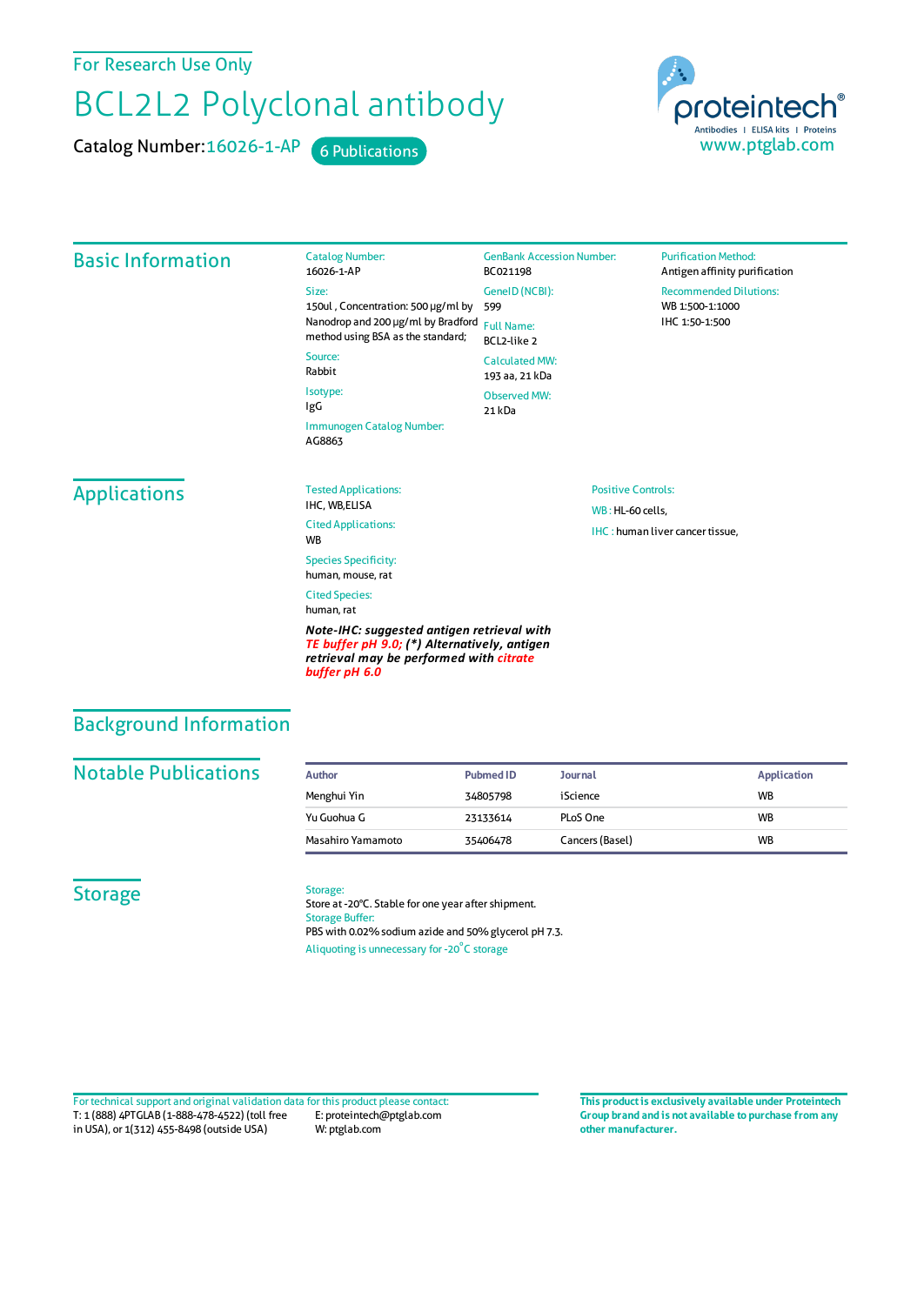For Research Use Only

# BCL2L2 Polyclonal antibody

Catalog Number: 16026-1-AP 6 Publications



| <b>Basic Information</b> | <b>Catalog Number:</b><br>16026-1-AP                                                                                                     | <b>GenBank Accession Number:</b><br>BC021198 | <b>Purification Method:</b><br>Antigen affinity purification       |  |
|--------------------------|------------------------------------------------------------------------------------------------------------------------------------------|----------------------------------------------|--------------------------------------------------------------------|--|
|                          | Size:<br>150ul, Concentration: 500 µg/ml by                                                                                              | GeneID (NCBI):<br>599                        | <b>Recommended Dilutions:</b><br>WB 1:500-1:1000<br>IHC 1:50-1:500 |  |
|                          | Nanodrop and 200 µg/ml by Bradford<br>method using BSA as the standard;                                                                  | <b>Full Name:</b><br>BCL2-like 2             |                                                                    |  |
|                          | Source:<br>Rabbit                                                                                                                        | <b>Calculated MW:</b><br>193 aa, 21 kDa      |                                                                    |  |
|                          | Isotype:<br>IgG                                                                                                                          | <b>Observed MW:</b><br>21 kDa                |                                                                    |  |
|                          | Immunogen Catalog Number:<br>AG8863                                                                                                      |                                              |                                                                    |  |
| <b>Applications</b>      | <b>Tested Applications:</b><br><b>Positive Controls:</b><br>IHC, WB,ELISA<br>WB: HL-60 cells,<br><b>Cited Applications:</b><br><b>WB</b> |                                              |                                                                    |  |
|                          |                                                                                                                                          |                                              | IHC: human liver cancer tissue,                                    |  |
|                          | <b>Species Specificity:</b><br>human, mouse, rat                                                                                         |                                              |                                                                    |  |
|                          | <b>Cited Species:</b><br>human, rat                                                                                                      |                                              |                                                                    |  |
|                          | Note-IHC: suggested antigen retrieval with<br>TE buffer pH 9.0; (*) Alternatively, antigen<br>retrieval may be performed with citrate    |                                              |                                                                    |  |

Background Information

# **Notable Publications**

| Author            | <b>Pubmed ID</b> | Journal         | <b>Application</b> |
|-------------------|------------------|-----------------|--------------------|
| Menghui Yin       | 34805798         | iScience        | <b>WB</b>          |
| Yu Guohua G       | 23133614         | PLoS One        | <b>WB</b>          |
| Masahiro Yamamoto | 35406478         | Cancers (Basel) | <b>WB</b>          |

## **Storage**

#### Storage:

*buffer pH 6.0*

Store at -20°C. Stable for one year after shipment. Storage Buffer: PBS with 0.02% sodium azide and 50% glycerol pH 7.3. Aliquoting is unnecessary for -20<sup>°</sup>C storage

T: 1 (888) 4PTGLAB (1-888-478-4522) (toll free in USA), or 1(312) 455-8498 (outside USA) E: proteintech@ptglab.com W: ptglab.com Fortechnical support and original validation data forthis product please contact: **This productis exclusively available under Proteintech**

**Group brand and is not available to purchase from any other manufacturer.**